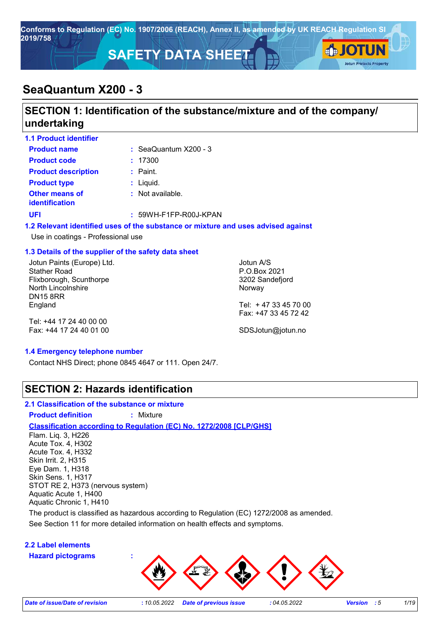

# **SeaQuantum X200 - 3**

# **SECTION 1: Identification of the substance/mixture and of the company/ undertaking**

| <b>1.1 Product identifier</b>                                                                                         |                                  |                                                                                   |  |
|-----------------------------------------------------------------------------------------------------------------------|----------------------------------|-----------------------------------------------------------------------------------|--|
| <b>Product name</b>                                                                                                   | $\therefore$ SeaQuantum X200 - 3 |                                                                                   |  |
| <b>Product code</b>                                                                                                   | : 17300                          |                                                                                   |  |
| <b>Product description</b>                                                                                            | $:$ Paint.                       |                                                                                   |  |
| <b>Product type</b>                                                                                                   | $:$ Liquid.                      |                                                                                   |  |
| Other means of<br><b>identification</b>                                                                               | : Not available.                 |                                                                                   |  |
| <b>UFI</b>                                                                                                            | $: 59WH-F1FP-R00J-KPAN$          |                                                                                   |  |
| Use in coatings - Professional use                                                                                    |                                  | 1.2 Relevant identified uses of the substance or mixture and uses advised against |  |
| 1.3 Details of the supplier of the safety data sheet                                                                  |                                  |                                                                                   |  |
| Jotun Paints (Europe) Ltd.<br><b>Stather Road</b><br>Flixborough, Scunthorpe<br>North Lincolnshire<br><b>DN15 8RR</b> |                                  | Jotun A/S<br>P.O.Box 2021<br>3202 Sandefjord<br>Norway                            |  |
| England                                                                                                               |                                  | Tel: +47 33 45 70 00<br>Fax: +47 33 45 72 42                                      |  |

Tel: +44 17 24 40 00 00 Fax: +44 17 24 40 01 00

SDSJotun@jotun.no

#### **1.4 Emergency telephone number**

Contact NHS Direct; phone 0845 4647 or 111. Open 24/7.

### **SECTION 2: Hazards identification**

### **2.1 Classification of the substance or mixture**

**Product definition :** Mixture

#### **Classification according to Regulation (EC) No. 1272/2008 [CLP/GHS]**

Flam. Liq. 3, H226 Acute Tox. 4, H302 Acute Tox. 4, H332 Skin Irrit. 2, H315 Eye Dam. 1, H318 Skin Sens. 1, H317 STOT RE 2, H373 (nervous system) Aquatic Acute 1, H400 Aquatic Chronic 1, H410

The product is classified as hazardous according to Regulation (EC) 1272/2008 as amended.

See Section 11 for more detailed information on health effects and symptoms.

### **2.2 Label elements**

**Hazard pictograms :**

*Date of issue/Date of revision* **:** *10.05.2022 Date of previous issue : 04.05.2022 Version : 5 1/19*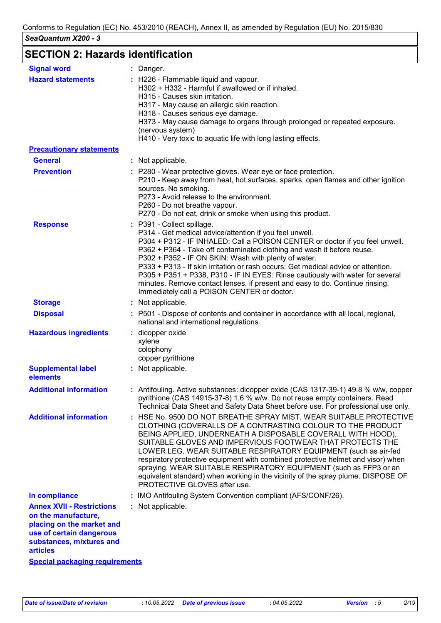# **SECTION 2: Hazards identification**

| <b>Signal word</b>                                                                                                                                              | : Danger.                                                                                                                                                                                                                                                                                                                                                                                                                                                                                                                                                                                                     |
|-----------------------------------------------------------------------------------------------------------------------------------------------------------------|---------------------------------------------------------------------------------------------------------------------------------------------------------------------------------------------------------------------------------------------------------------------------------------------------------------------------------------------------------------------------------------------------------------------------------------------------------------------------------------------------------------------------------------------------------------------------------------------------------------|
| <b>Hazard statements</b>                                                                                                                                        | : H226 - Flammable liquid and vapour.<br>H302 + H332 - Harmful if swallowed or if inhaled.<br>H315 - Causes skin irritation.<br>H317 - May cause an allergic skin reaction.                                                                                                                                                                                                                                                                                                                                                                                                                                   |
|                                                                                                                                                                 | H318 - Causes serious eye damage.<br>H373 - May cause damage to organs through prolonged or repeated exposure.<br>(nervous system)<br>H410 - Very toxic to aquatic life with long lasting effects.                                                                                                                                                                                                                                                                                                                                                                                                            |
| <b>Precautionary statements</b>                                                                                                                                 |                                                                                                                                                                                                                                                                                                                                                                                                                                                                                                                                                                                                               |
| <b>General</b>                                                                                                                                                  | : Not applicable.                                                                                                                                                                                                                                                                                                                                                                                                                                                                                                                                                                                             |
| <b>Prevention</b>                                                                                                                                               | : P280 - Wear protective gloves. Wear eye or face protection.<br>P210 - Keep away from heat, hot surfaces, sparks, open flames and other ignition<br>sources. No smoking.<br>P273 - Avoid release to the environment.<br>P260 - Do not breathe vapour.<br>P270 - Do not eat, drink or smoke when using this product.                                                                                                                                                                                                                                                                                          |
| <b>Response</b>                                                                                                                                                 | : P391 - Collect spillage.<br>P314 - Get medical advice/attention if you feel unwell.<br>P304 + P312 - IF INHALED: Call a POISON CENTER or doctor if you feel unwell.<br>P362 + P364 - Take off contaminated clothing and wash it before reuse.<br>P302 + P352 - IF ON SKIN: Wash with plenty of water.<br>P333 + P313 - If skin irritation or rash occurs: Get medical advice or attention.<br>P305 + P351 + P338, P310 - IF IN EYES: Rinse cautiously with water for several<br>minutes. Remove contact lenses, if present and easy to do. Continue rinsing.<br>Immediately call a POISON CENTER or doctor. |
| <b>Storage</b>                                                                                                                                                  | : Not applicable.                                                                                                                                                                                                                                                                                                                                                                                                                                                                                                                                                                                             |
| <b>Disposal</b>                                                                                                                                                 | : P501 - Dispose of contents and container in accordance with all local, regional,<br>national and international regulations.                                                                                                                                                                                                                                                                                                                                                                                                                                                                                 |
| <b>Hazardous ingredients</b>                                                                                                                                    | dicopper oxide<br>xylene<br>colophony<br>copper pyrithione                                                                                                                                                                                                                                                                                                                                                                                                                                                                                                                                                    |
| <b>Supplemental label</b><br>elements                                                                                                                           | : Not applicable.                                                                                                                                                                                                                                                                                                                                                                                                                                                                                                                                                                                             |
| <b>Additional information</b>                                                                                                                                   | : Antifouling. Active substances: dicopper oxide (CAS 1317-39-1) 49.8 % w/w, copper<br>pyrithione (CAS 14915-37-8) 1.6 % w/w. Do not reuse empty containers. Read<br>Technical Data Sheet and Safety Data Sheet before use. For professional use only.                                                                                                                                                                                                                                                                                                                                                        |
| <b>Additional information</b>                                                                                                                                   | : HSE No. 9500 DO NOT BREATHE SPRAY MIST. WEAR SUITABLE PROTECTIVE<br>CLOTHING (COVERALLS OF A CONTRASTING COLOUR TO THE PRODUCT<br>BEING APPLIED, UNDERNEATH A DISPOSABLE COVERALL WITH HOOD),<br>SUITABLE GLOVES AND IMPERVIOUS FOOTWEAR THAT PROTECTS THE<br>LOWER LEG. WEAR SUITABLE RESPIRATORY EQUIPMENT (such as air-fed<br>respiratory protective equipment with combined protective helmet and visor) when<br>spraying. WEAR SUITABLE RESPIRATORY EQUIPMENT (such as FFP3 or an<br>equivalent standard) when working in the vicinity of the spray plume. DISPOSE OF<br>PROTECTIVE GLOVES after use.  |
| In compliance                                                                                                                                                   | : IMO Antifouling System Convention compliant (AFS/CONF/26).                                                                                                                                                                                                                                                                                                                                                                                                                                                                                                                                                  |
| <b>Annex XVII - Restrictions</b><br>on the manufacture,<br>placing on the market and<br>use of certain dangerous<br>substances, mixtures and<br><b>articles</b> | : Not applicable.                                                                                                                                                                                                                                                                                                                                                                                                                                                                                                                                                                                             |
| <b>Special packaging requirements</b>                                                                                                                           |                                                                                                                                                                                                                                                                                                                                                                                                                                                                                                                                                                                                               |
|                                                                                                                                                                 |                                                                                                                                                                                                                                                                                                                                                                                                                                                                                                                                                                                                               |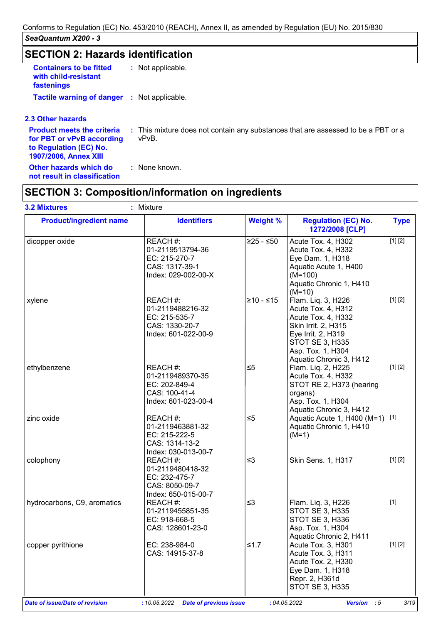# **SECTION 2: Hazards identification**

| <b>Containers to be fitted</b><br>with child-resistant<br>fastenings | : Not applicable. |  |
|----------------------------------------------------------------------|-------------------|--|
| <b>Tactile warning of danger : Not applicable.</b>                   |                   |  |

#### **2.3 Other hazards**

| for PBT or vPvB according<br>to Regulation (EC) No.<br>1907/2006, Annex XIII | <b>Product meets the criteria</b> : This mixture does not contain any substances that are assessed to be a PBT or a<br>vPvB. |
|------------------------------------------------------------------------------|------------------------------------------------------------------------------------------------------------------------------|
| Other hazards which do<br>not result in classification                       | : None known.                                                                                                                |

# **SECTION 3: Composition/information on ingredients**

| <b>Product/ingredient name</b> | <b>Identifiers</b>                                                                     | <b>Weight %</b> | <b>Regulation (EC) No.</b><br>1272/2008 [CLP]                                                                                                                                         | <b>Type</b> |
|--------------------------------|----------------------------------------------------------------------------------------|-----------------|---------------------------------------------------------------------------------------------------------------------------------------------------------------------------------------|-------------|
| dicopper oxide                 | REACH #:<br>01-2119513794-36<br>EC: 215-270-7<br>CAS: 1317-39-1<br>Index: 029-002-00-X | $≥25 - ≤50$     | Acute Tox. 4, H302<br>Acute Tox. 4, H332<br>Eye Dam. 1, H318<br>Aquatic Acute 1, H400<br>$(M=100)$<br>Aquatic Chronic 1, H410<br>$(M=10)$                                             | [1] [2]     |
| xylene                         | REACH #:<br>01-2119488216-32<br>EC: 215-535-7<br>CAS: 1330-20-7<br>Index: 601-022-00-9 | $≥10 - ≤15$     | Flam. Liq. 3, H226<br>Acute Tox. 4, H312<br>Acute Tox. 4, H332<br><b>Skin Irrit. 2, H315</b><br>Eye Irrit. 2, H319<br>STOT SE 3, H335<br>Asp. Tox. 1, H304<br>Aquatic Chronic 3, H412 | [1] [2]     |
| ethylbenzene                   | REACH #:<br>01-2119489370-35<br>EC: 202-849-4<br>CAS: 100-41-4<br>Index: 601-023-00-4  | $\leq 5$        | Flam. Liq. 2, H225<br>Acute Tox. 4, H332<br>STOT RE 2, H373 (hearing<br>organs)<br>Asp. Tox. 1, H304<br>Aquatic Chronic 3, H412                                                       | [1] [2]     |
| zinc oxide                     | REACH #:<br>01-2119463881-32<br>EC: 215-222-5<br>CAS: 1314-13-2<br>Index: 030-013-00-7 | $\leq 5$        | Aquatic Acute 1, H400 (M=1) [1]<br>Aquatic Chronic 1, H410<br>$(M=1)$                                                                                                                 |             |
| colophony                      | REACH #:<br>01-2119480418-32<br>EC: 232-475-7<br>CAS: 8050-09-7<br>Index: 650-015-00-7 | $\leq$ 3        | Skin Sens. 1, H317                                                                                                                                                                    | [1] [2]     |
| hydrocarbons, C9, aromatics    | REACH #:<br>01-2119455851-35<br>EC: 918-668-5<br>CAS: 128601-23-0                      | $\leq$ 3        | Flam. Liq. 3, H226<br><b>STOT SE 3, H335</b><br><b>STOT SE 3, H336</b><br>Asp. Tox. 1, H304<br>Aquatic Chronic 2, H411                                                                | $[1]$       |
| copper pyrithione              | EC: 238-984-0<br>CAS: 14915-37-8                                                       | $≤1.7$          | Acute Tox. 3, H301<br>Acute Tox. 3, H311<br>Acute Tox. 2, H330<br>Eye Dam. 1, H318<br>Repr. 2, H361d<br><b>STOT SE 3, H335</b>                                                        | [1] [2]     |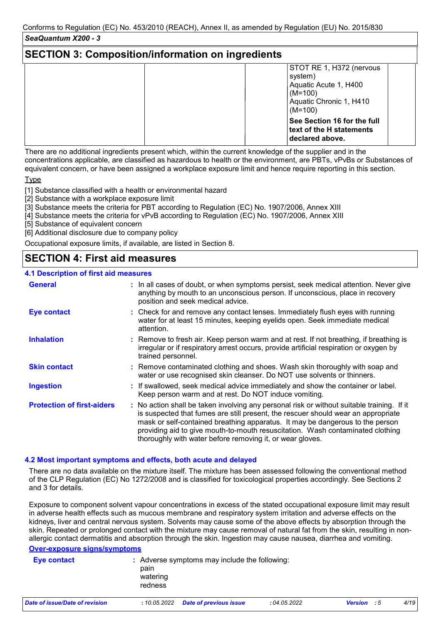### **SECTION 3: Composition/information on ingredients**

| STOT RE 1, H372 (nervous<br>system)<br>Aquatic Acute 1, H400<br>$(M=100)$  |
|----------------------------------------------------------------------------|
| Aquatic Chronic 1, H410<br>$(M=100)$                                       |
| See Section 16 for the full<br>text of the H statements<br>declared above. |

There are no additional ingredients present which, within the current knowledge of the supplier and in the concentrations applicable, are classified as hazardous to health or the environment, are PBTs, vPvBs or Substances of equivalent concern, or have been assigned a workplace exposure limit and hence require reporting in this section.

Type

[1] Substance classified with a health or environmental hazard

[2] Substance with a workplace exposure limit

[3] Substance meets the criteria for PBT according to Regulation (EC) No. 1907/2006, Annex XIII

[4] Substance meets the criteria for vPvB according to Regulation (EC) No. 1907/2006, Annex XIII

[5] Substance of equivalent concern

[6] Additional disclosure due to company policy

Occupational exposure limits, if available, are listed in Section 8.

# **SECTION 4: First aid measures**

### **4.1 Description of first aid measures**

| <b>General</b>                    | : In all cases of doubt, or when symptoms persist, seek medical attention. Never give<br>anything by mouth to an unconscious person. If unconscious, place in recovery<br>position and seek medical advice.                                                                                                                                                                                                     |  |
|-----------------------------------|-----------------------------------------------------------------------------------------------------------------------------------------------------------------------------------------------------------------------------------------------------------------------------------------------------------------------------------------------------------------------------------------------------------------|--|
| <b>Eye contact</b>                | : Check for and remove any contact lenses. Immediately flush eyes with running<br>water for at least 15 minutes, keeping eyelids open. Seek immediate medical<br>attention.                                                                                                                                                                                                                                     |  |
| <b>Inhalation</b>                 | : Remove to fresh air. Keep person warm and at rest. If not breathing, if breathing is<br>irregular or if respiratory arrest occurs, provide artificial respiration or oxygen by<br>trained personnel.                                                                                                                                                                                                          |  |
| <b>Skin contact</b>               | : Remove contaminated clothing and shoes. Wash skin thoroughly with soap and<br>water or use recognised skin cleanser. Do NOT use solvents or thinners.                                                                                                                                                                                                                                                         |  |
| <b>Ingestion</b>                  | : If swallowed, seek medical advice immediately and show the container or label.<br>Keep person warm and at rest. Do NOT induce vomiting.                                                                                                                                                                                                                                                                       |  |
| <b>Protection of first-aiders</b> | : No action shall be taken involving any personal risk or without suitable training. If it<br>is suspected that fumes are still present, the rescuer should wear an appropriate<br>mask or self-contained breathing apparatus. It may be dangerous to the person<br>providing aid to give mouth-to-mouth resuscitation. Wash contaminated clothing<br>thoroughly with water before removing it, or wear gloves. |  |

#### **4.2 Most important symptoms and effects, both acute and delayed**

There are no data available on the mixture itself. The mixture has been assessed following the conventional method of the CLP Regulation (EC) No 1272/2008 and is classified for toxicological properties accordingly. See Sections 2 and 3 for details.

Exposure to component solvent vapour concentrations in excess of the stated occupational exposure limit may result in adverse health effects such as mucous membrane and respiratory system irritation and adverse effects on the kidneys, liver and central nervous system. Solvents may cause some of the above effects by absorption through the skin. Repeated or prolonged contact with the mixture may cause removal of natural fat from the skin, resulting in nonallergic contact dermatitis and absorption through the skin. Ingestion may cause nausea, diarrhea and vomiting.

#### **Over-exposure signs/symptoms**

| Eye contact                    | pain<br>watering<br>redness | : Adverse symptoms may include the following: |             |                      |      |
|--------------------------------|-----------------------------|-----------------------------------------------|-------------|----------------------|------|
| Date of issue/Date of revision | : 10.05.2022                | Date of previous issue                        | :04.05.2022 | <b>Version</b><br>:5 | 4/19 |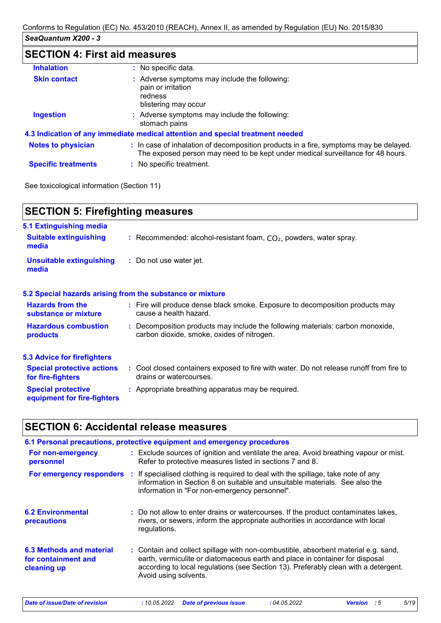# **SECTION 4: First aid measures**

| <b>Inhalation</b>          | : No specific data.                                                                                                                                                      |
|----------------------------|--------------------------------------------------------------------------------------------------------------------------------------------------------------------------|
| <b>Skin contact</b>        | : Adverse symptoms may include the following:<br>pain or irritation<br>redness<br>blistering may occur                                                                   |
| <b>Ingestion</b>           | : Adverse symptoms may include the following:<br>stomach pains                                                                                                           |
|                            | 4.3 Indication of any immediate medical attention and special treatment needed                                                                                           |
| <b>Notes to physician</b>  | : In case of inhalation of decomposition products in a fire, symptoms may be delayed.<br>The exposed person may need to be kept under medical surveillance for 48 hours. |
| <b>Specific treatments</b> | : No specific treatment.                                                                                                                                                 |
|                            |                                                                                                                                                                          |

See toxicological information (Section 11)

| <b>SECTION 5: Firefighting measures</b>                           |                                                                                                                              |  |  |
|-------------------------------------------------------------------|------------------------------------------------------------------------------------------------------------------------------|--|--|
| 5.1 Extinguishing media<br><b>Suitable extinguishing</b><br>media | : Recommended: alcohol-resistant foam, $CO2$ , powders, water spray.                                                         |  |  |
| <b>Unsuitable extinguishing</b><br>media                          | : Do not use water jet.                                                                                                      |  |  |
|                                                                   | 5.2 Special hazards arising from the substance or mixture                                                                    |  |  |
| <b>Hazards from the</b><br>substance or mixture                   | : Fire will produce dense black smoke. Exposure to decomposition products may<br>cause a health hazard.                      |  |  |
| <b>Hazardous combustion</b><br><b>products</b>                    | : Decomposition products may include the following materials: carbon monoxide,<br>carbon dioxide, smoke, oxides of nitrogen. |  |  |
| <b>5.3 Advice for firefighters</b>                                |                                                                                                                              |  |  |
| <b>Special protective actions</b><br>for fire-fighters            | : Cool closed containers exposed to fire with water. Do not release runoff from fire to<br>drains or watercourses.           |  |  |
| <b>Special protective</b><br>equipment for fire-fighters          | : Appropriate breathing apparatus may be required.                                                                           |  |  |

# **SECTION 6: Accidental release measures**

|                                                                | 6.1 Personal precautions, protective equipment and emergency procedures                                                                                                                                                                                                            |
|----------------------------------------------------------------|------------------------------------------------------------------------------------------------------------------------------------------------------------------------------------------------------------------------------------------------------------------------------------|
| For non-emergency<br>personnel                                 | : Exclude sources of ignition and ventilate the area. Avoid breathing vapour or mist.<br>Refer to protective measures listed in sections 7 and 8.                                                                                                                                  |
|                                                                | For emergency responders : If specialised clothing is required to deal with the spillage, take note of any<br>information in Section 8 on suitable and unsuitable materials. See also the<br>information in "For non-emergency personnel".                                         |
| <b>6.2 Environmental</b><br>precautions                        | : Do not allow to enter drains or watercourses. If the product contaminates lakes,<br>rivers, or sewers, inform the appropriate authorities in accordance with local<br>regulations.                                                                                               |
| 6.3 Methods and material<br>for containment and<br>cleaning up | : Contain and collect spillage with non-combustible, absorbent material e.g. sand,<br>earth, vermiculite or diatomaceous earth and place in container for disposal<br>according to local regulations (see Section 13). Preferably clean with a detergent.<br>Avoid using solvents. |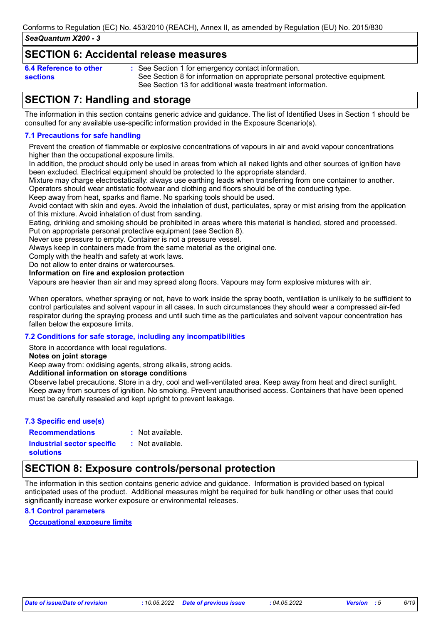### **SECTION 6: Accidental release measures**

| 6.4 Reference to other |  |
|------------------------|--|
| <b>sections</b>        |  |

See Section 1 for emergency contact information. **:** See Section 8 for information on appropriate personal protective equipment. See Section 13 for additional waste treatment information.

# **SECTION 7: Handling and storage**

The information in this section contains generic advice and guidance. The list of Identified Uses in Section 1 should be consulted for any available use-specific information provided in the Exposure Scenario(s).

### **7.1 Precautions for safe handling**

Prevent the creation of flammable or explosive concentrations of vapours in air and avoid vapour concentrations higher than the occupational exposure limits.

In addition, the product should only be used in areas from which all naked lights and other sources of ignition have been excluded. Electrical equipment should be protected to the appropriate standard.

Mixture may charge electrostatically: always use earthing leads when transferring from one container to another. Operators should wear antistatic footwear and clothing and floors should be of the conducting type.

Keep away from heat, sparks and flame. No sparking tools should be used.

Avoid contact with skin and eyes. Avoid the inhalation of dust, particulates, spray or mist arising from the application of this mixture. Avoid inhalation of dust from sanding.

Eating, drinking and smoking should be prohibited in areas where this material is handled, stored and processed. Put on appropriate personal protective equipment (see Section 8).

Never use pressure to empty. Container is not a pressure vessel.

Always keep in containers made from the same material as the original one.

Comply with the health and safety at work laws.

Do not allow to enter drains or watercourses.

### **Information on fire and explosion protection**

Vapours are heavier than air and may spread along floors. Vapours may form explosive mixtures with air.

When operators, whether spraying or not, have to work inside the spray booth, ventilation is unlikely to be sufficient to control particulates and solvent vapour in all cases. In such circumstances they should wear a compressed air-fed respirator during the spraying process and until such time as the particulates and solvent vapour concentration has fallen below the exposure limits.

### **7.2 Conditions for safe storage, including any incompatibilities**

Store in accordance with local regulations.

**Notes on joint storage**

Keep away from: oxidising agents, strong alkalis, strong acids.

**Additional information on storage conditions**

Observe label precautions. Store in a dry, cool and well-ventilated area. Keep away from heat and direct sunlight. Keep away from sources of ignition. No smoking. Prevent unauthorised access. Containers that have been opened must be carefully resealed and kept upright to prevent leakage.

### **7.3 Specific end use(s)**

**Recommendations : Industrial sector specific : solutions**

: Not available.

: Not available.

# **SECTION 8: Exposure controls/personal protection**

The information in this section contains generic advice and guidance. Information is provided based on typical anticipated uses of the product. Additional measures might be required for bulk handling or other uses that could significantly increase worker exposure or environmental releases.

#### **8.1 Control parameters**

#### **Occupational exposure limits**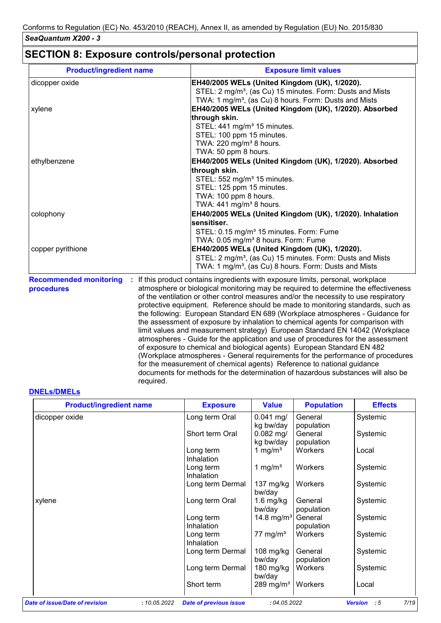# **SECTION 8: Exposure controls/personal protection**

required.

| <b>Product/ingredient name</b> |    | <b>Exposure limit values</b>                                                                                                                                    |
|--------------------------------|----|-----------------------------------------------------------------------------------------------------------------------------------------------------------------|
| dicopper oxide                 |    | EH40/2005 WELs (United Kingdom (UK), 1/2020).                                                                                                                   |
|                                |    | STEL: 2 mg/m <sup>3</sup> , (as Cu) 15 minutes. Form: Dusts and Mists                                                                                           |
|                                |    | TWA: 1 mg/m <sup>3</sup> , (as Cu) 8 hours. Form: Dusts and Mists                                                                                               |
| xylene                         |    | EH40/2005 WELs (United Kingdom (UK), 1/2020). Absorbed                                                                                                          |
|                                |    | through skin.                                                                                                                                                   |
|                                |    | STEL: 441 mg/m <sup>3</sup> 15 minutes.                                                                                                                         |
|                                |    | STEL: 100 ppm 15 minutes.                                                                                                                                       |
|                                |    | TWA: 220 mg/m <sup>3</sup> 8 hours.                                                                                                                             |
|                                |    | TWA: 50 ppm 8 hours.                                                                                                                                            |
| ethylbenzene                   |    | EH40/2005 WELs (United Kingdom (UK), 1/2020). Absorbed                                                                                                          |
|                                |    | through skin.                                                                                                                                                   |
|                                |    | STEL: 552 mg/m <sup>3</sup> 15 minutes.                                                                                                                         |
|                                |    | STEL: 125 ppm 15 minutes.                                                                                                                                       |
|                                |    | TWA: 100 ppm 8 hours.                                                                                                                                           |
|                                |    | TWA: $441$ mg/m <sup>3</sup> 8 hours.                                                                                                                           |
| colophony                      |    | EH40/2005 WELs (United Kingdom (UK), 1/2020). Inhalation                                                                                                        |
|                                |    | sensitiser.                                                                                                                                                     |
|                                |    | STEL: 0.15 mg/m <sup>3</sup> 15 minutes. Form: Fume                                                                                                             |
|                                |    | TWA: 0.05 mg/m <sup>3</sup> 8 hours. Form: Fume                                                                                                                 |
| copper pyrithione              |    | EH40/2005 WELs (United Kingdom (UK), 1/2020).                                                                                                                   |
|                                |    | STEL: 2 mg/m <sup>3</sup> , (as Cu) 15 minutes. Form: Dusts and Mists                                                                                           |
|                                |    | TWA: 1 mg/m <sup>3</sup> , (as Cu) 8 hours. Form: Dusts and Mists                                                                                               |
|                                |    |                                                                                                                                                                 |
| <b>Recommended monitoring</b>  | ÷. | If this product contains ingredients with exposure limits, personal, workplace                                                                                  |
| procedures                     |    | atmosphere or biological monitoring may be required to determine the effectiveness                                                                              |
|                                |    | of the ventilation or other control measures and/or the necessity to use respiratory                                                                            |
|                                |    | protective equipment. Reference should be made to monitoring standards, such as                                                                                 |
|                                |    | the following: European Standard EN 689 (Workplace atmospheres - Guidance for                                                                                   |
|                                |    | the assessment of exposure by inhalation to chemical agents for comparison with<br>limit values and measurement strategy) European Standard EN 14042 (Workplace |
|                                |    | atmospheres - Guide for the application and use of procedures for the assessment                                                                                |
|                                |    |                                                                                                                                                                 |
|                                |    | of exposure to chemical and biological agents) European Standard EN 482                                                                                         |
|                                |    | (Workplace atmospheres - General requirements for the performance of procedures                                                                                 |
|                                |    | for the measurement of chemical agents) Reference to national guidance                                                                                          |
|                                |    | documents for methods for the determination of hazardous substances will also be                                                                                |

#### **DNELs/DMELs**

| <b>Product/ingredient name</b> |              | <b>Exposure</b>               | <b>Value</b>           | <b>Population</b> | <b>Effects</b>               |
|--------------------------------|--------------|-------------------------------|------------------------|-------------------|------------------------------|
| dicopper oxide                 |              | Long term Oral                | $0.041$ mg/            | General           | Systemic                     |
|                                |              |                               | kg bw/day              | population        |                              |
|                                |              | Short term Oral               | $0.082$ mg/            | General           | Systemic                     |
|                                |              |                               | kg bw/day              | population        |                              |
|                                |              | Long term                     | 1 mg/ $m3$             | Workers           | Local                        |
|                                |              | Inhalation                    |                        |                   |                              |
|                                |              | Long term                     | 1 mg/ $m3$             | Workers           | Systemic                     |
|                                |              | Inhalation                    |                        |                   |                              |
|                                |              | Long term Dermal              | 137 mg/kg              | Workers           | Systemic                     |
|                                |              |                               | bw/day                 |                   |                              |
| xylene                         |              | Long term Oral                | 1.6 mg/kg              | General           | Systemic                     |
|                                |              |                               | bw/day                 | population        |                              |
|                                |              | Long term                     | 14.8 mg/m <sup>3</sup> | General           | Systemic                     |
|                                |              | Inhalation                    |                        | population        |                              |
|                                |              | Long term                     | 77 mg/m <sup>3</sup>   | Workers           | Systemic                     |
|                                |              | Inhalation                    |                        |                   |                              |
|                                |              | Long term Dermal              | 108 mg/kg              | General           | Systemic                     |
|                                |              |                               | bw/day                 | population        |                              |
|                                |              | Long term Dermal              | 180 mg/kg              | Workers           | Systemic                     |
|                                |              |                               | bw/day                 |                   |                              |
|                                |              | Short term                    | 289 mg/m $3$           | Workers           | Local                        |
| Date of issue/Date of revision | : 10.05.2022 | <b>Date of previous issue</b> | :04.05.2022            |                   | 7/19<br><b>Version</b><br>:5 |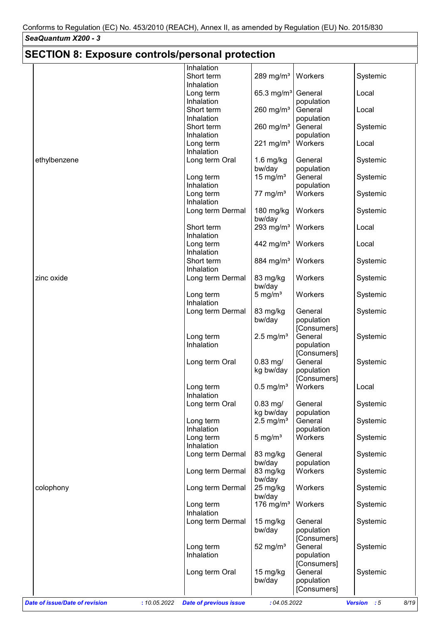| <b>SECTION 8: Exposure controls/personal protection</b> |                                               |                         |             |                     |
|---------------------------------------------------------|-----------------------------------------------|-------------------------|-------------|---------------------|
|                                                         | Inhalation                                    |                         |             |                     |
|                                                         | Short term                                    | 289 mg/m $3$            | Workers     | Systemic            |
|                                                         | Inhalation                                    |                         |             |                     |
|                                                         | Long term                                     | 65.3 mg/m <sup>3</sup>  | General     | Local               |
|                                                         | Inhalation                                    |                         | population  |                     |
|                                                         | Short term                                    |                         | General     |                     |
|                                                         |                                               | $260$ mg/m <sup>3</sup> |             | Local               |
|                                                         | Inhalation                                    |                         | population  |                     |
|                                                         | Short term                                    | 260 mg/ $m3$            | General     | Systemic            |
|                                                         | Inhalation                                    |                         | population  |                     |
|                                                         | Long term                                     | 221 mg/m $3$            | Workers     | Local               |
|                                                         | Inhalation                                    |                         |             |                     |
| ethylbenzene                                            | Long term Oral                                | $1.6$ mg/kg             | General     | Systemic            |
|                                                         |                                               | bw/day                  | population  |                     |
|                                                         | Long term                                     | 15 mg/ $m3$             | General     | Systemic            |
|                                                         | Inhalation                                    |                         | population  |                     |
|                                                         | Long term                                     | 77 mg/ $m3$             | Workers     | Systemic            |
|                                                         | Inhalation                                    |                         |             |                     |
|                                                         | Long term Dermal                              | 180 mg/kg               | Workers     | Systemic            |
|                                                         |                                               | bw/day                  |             |                     |
|                                                         | Short term                                    | 293 mg/m $3$            | Workers     | Local               |
|                                                         | Inhalation                                    |                         |             |                     |
|                                                         | Long term                                     | 442 mg/m <sup>3</sup>   | Workers     | Local               |
|                                                         | Inhalation                                    |                         |             |                     |
|                                                         | Short term                                    | 884 mg/m <sup>3</sup>   | Workers     | Systemic            |
|                                                         | Inhalation                                    |                         |             |                     |
| zinc oxide                                              | Long term Dermal                              | 83 mg/kg                | Workers     | Systemic            |
|                                                         |                                               | bw/day                  |             |                     |
|                                                         | Long term                                     | 5 mg/ $m3$              | Workers     | Systemic            |
|                                                         | Inhalation                                    |                         |             |                     |
|                                                         | Long term Dermal                              | 83 mg/kg                | General     | Systemic            |
|                                                         |                                               | bw/day                  | population  |                     |
|                                                         |                                               |                         | [Consumers] |                     |
|                                                         | Long term                                     | $2.5 \text{ mg/m}^3$    | General     | Systemic            |
|                                                         | Inhalation                                    |                         |             |                     |
|                                                         |                                               |                         | population  |                     |
|                                                         |                                               |                         | [Consumers] |                     |
|                                                         | Long term Oral                                | $0.83$ mg/              | General     | Systemic            |
|                                                         |                                               | kg bw/day               | population  |                     |
|                                                         |                                               |                         | [Consumers] |                     |
|                                                         | Long term                                     | $0.5$ mg/m <sup>3</sup> | Workers     | Local               |
|                                                         | Inhalation                                    |                         |             |                     |
|                                                         | Long term Oral                                | $0.83$ mg/              | General     | Systemic            |
|                                                         |                                               | kg bw/day               | population  |                     |
|                                                         | Long term                                     | $2.5 \text{ mg/m}^3$    | General     | Systemic            |
|                                                         | Inhalation                                    |                         | population  |                     |
|                                                         | Long term                                     | 5 mg/ $m3$              | Workers     | Systemic            |
|                                                         | Inhalation                                    |                         |             |                     |
|                                                         | Long term Dermal                              | 83 mg/kg                | General     | Systemic            |
|                                                         |                                               | bw/day                  | population  |                     |
|                                                         | Long term Dermal                              | 83 mg/kg                | Workers     | Systemic            |
|                                                         |                                               | bw/day                  |             |                     |
| colophony                                               | Long term Dermal                              | 25 mg/kg                | Workers     | Systemic            |
|                                                         |                                               | bw/day                  |             |                     |
|                                                         | Long term                                     | 176 mg/m $3$            | Workers     | Systemic            |
|                                                         | Inhalation                                    |                         |             |                     |
|                                                         | Long term Dermal                              | 15 mg/kg                | General     | Systemic            |
|                                                         |                                               | bw/day                  | population  |                     |
|                                                         |                                               |                         | [Consumers] |                     |
|                                                         | Long term                                     | 52 mg/ $m3$             | General     | Systemic            |
|                                                         | Inhalation                                    |                         | population  |                     |
|                                                         |                                               |                         | [Consumers] |                     |
|                                                         | Long term Oral                                | 15 mg/kg                | General     | Systemic            |
|                                                         |                                               | bw/day                  | population  |                     |
|                                                         |                                               |                         | [Consumers] |                     |
|                                                         |                                               |                         |             |                     |
| <b>Date of issue/Date of revision</b>                   | <b>Date of previous issue</b><br>: 10.05.2022 | : 04.05.2022            |             | Version : 5<br>8/19 |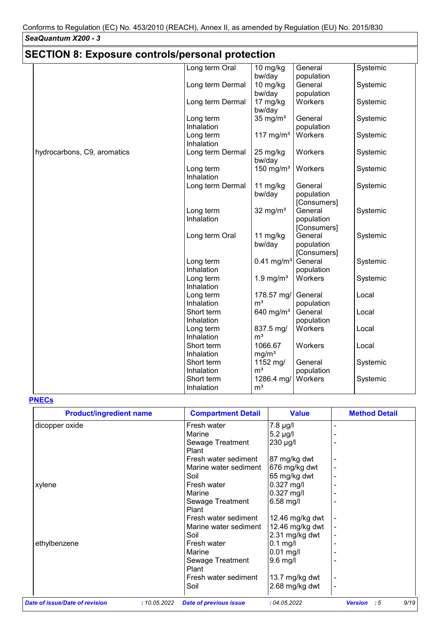| <b>SECTION 8: Exposure controls/personal protection</b> |                          |                            |                        |          |  |  |  |
|---------------------------------------------------------|--------------------------|----------------------------|------------------------|----------|--|--|--|
|                                                         | Long term Oral           | 10 mg/kg                   | General                | Systemic |  |  |  |
|                                                         |                          | bw/day                     | population             |          |  |  |  |
|                                                         | Long term Dermal         | 10 mg/kg                   | General                | Systemic |  |  |  |
|                                                         |                          | bw/day                     | population             |          |  |  |  |
|                                                         | Long term Dermal         | 17 mg/kg<br>bw/day         | Workers                | Systemic |  |  |  |
|                                                         | Long term                | 35 mg/ $m3$                | General                | Systemic |  |  |  |
|                                                         | Inhalation               |                            | population             |          |  |  |  |
|                                                         | Long term<br>Inhalation  | 117 mg/m $3$               | Workers                | Systemic |  |  |  |
| hydrocarbons, C9, aromatics                             | Long term Dermal         | 25 mg/kg<br>bw/day         | Workers                | Systemic |  |  |  |
|                                                         | Long term                | 150 mg/ $m3$               | Workers                | Systemic |  |  |  |
|                                                         | Inhalation               |                            |                        |          |  |  |  |
|                                                         | Long term Dermal         | 11 mg/kg                   | General                | Systemic |  |  |  |
|                                                         |                          | bw/day                     | population             |          |  |  |  |
|                                                         |                          |                            | [Consumers]            |          |  |  |  |
|                                                         | Long term                | 32 mg/ $m3$                | General                | Systemic |  |  |  |
|                                                         | Inhalation               |                            | population             |          |  |  |  |
|                                                         |                          | 11 mg/kg                   | [Consumers]<br>General | Systemic |  |  |  |
|                                                         | Long term Oral           | bw/day                     | population             |          |  |  |  |
|                                                         |                          |                            | [Consumers]            |          |  |  |  |
|                                                         | Long term                | $0.41$ mg/m <sup>3</sup>   | General                | Systemic |  |  |  |
|                                                         | Inhalation               |                            | population             |          |  |  |  |
|                                                         | Long term                | 1.9 mg/ $m3$               | Workers                | Systemic |  |  |  |
|                                                         | Inhalation               |                            |                        |          |  |  |  |
|                                                         | Long term                | 178.57 mg/                 | General                | Local    |  |  |  |
|                                                         | Inhalation               | m <sup>3</sup>             | population             |          |  |  |  |
|                                                         | Short term               | 640 mg/m <sup>3</sup>      | General                | Local    |  |  |  |
|                                                         | Inhalation               |                            | population             |          |  |  |  |
|                                                         | Long term                | 837.5 mg/                  | Workers                | Local    |  |  |  |
|                                                         | Inhalation               | m <sup>3</sup>             |                        |          |  |  |  |
|                                                         | Short term               | 1066.67                    | Workers                | Local    |  |  |  |
|                                                         | Inhalation               | mg/m <sup>3</sup>          |                        |          |  |  |  |
|                                                         | Short term<br>Inhalation | 1152 mg/<br>m <sup>3</sup> | General<br>population  | Systemic |  |  |  |
|                                                         | Short term               | 1286.4 mg/                 | Workers                | Systemic |  |  |  |
|                                                         | Inhalation               | m <sup>3</sup>             |                        |          |  |  |  |
|                                                         |                          |                            |                        |          |  |  |  |

### **PNECs**

| <b>Product/ingredient name</b> |              | <b>Compartment Detail</b>     | <b>Value</b>    | <b>Method Detail</b>         |
|--------------------------------|--------------|-------------------------------|-----------------|------------------------------|
| dicopper oxide                 |              | Fresh water                   | 7.8 µg/l        |                              |
|                                |              | Marine                        | 5.2 µg/l        |                              |
|                                |              | Sewage Treatment              | 230 µg/l        |                              |
|                                |              | Plant                         |                 |                              |
|                                |              | Fresh water sediment          | 87 mg/kg dwt    |                              |
|                                |              | Marine water sediment         | 676 mg/kg dwt   |                              |
|                                |              | Soil                          | 65 mg/kg dwt    |                              |
| xylene                         |              | Fresh water                   | $0.327$ mg/l    |                              |
|                                |              | Marine                        | $0.327$ mg/l    |                              |
|                                |              | Sewage Treatment              | $6.58$ mg/l     |                              |
|                                |              | Plant                         |                 |                              |
|                                |              | Fresh water sediment          | 12.46 mg/kg dwt |                              |
|                                |              | Marine water sediment         | 12.46 mg/kg dwt |                              |
|                                |              | Soil                          | 2.31 mg/kg dwt  |                              |
| ethylbenzene                   |              | Fresh water                   | $0.1$ mg/l      |                              |
|                                |              | Marine                        | $0.01$ mg/l     |                              |
|                                |              | Sewage Treatment              | $9.6$ mg/l      |                              |
|                                |              | Plant                         |                 |                              |
|                                |              | Fresh water sediment          | 13.7 mg/kg dwt  |                              |
|                                |              | Soil                          | 2.68 mg/kg dwt  |                              |
| Date of issue/Date of revision | : 10.05.2022 | <b>Date of previous issue</b> | :04.05.2022     | 9/19<br><b>Version</b><br>:5 |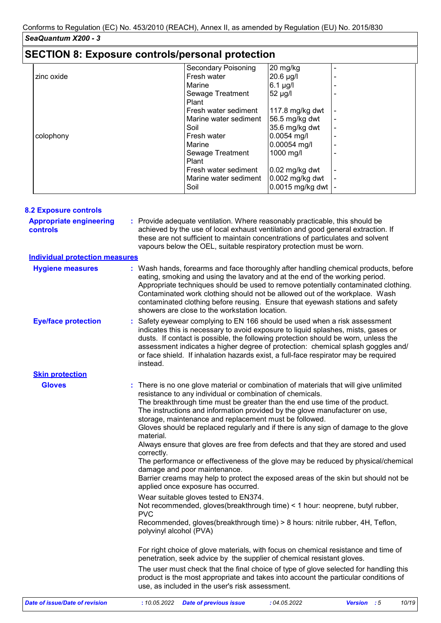| <b>SECTION 8: Exposure controls/personal protection</b> |                            |                   |  |  |  |  |
|---------------------------------------------------------|----------------------------|-------------------|--|--|--|--|
|                                                         | <b>Secondary Poisoning</b> | 20 mg/kg          |  |  |  |  |
| zinc oxide                                              | Fresh water                | 20.6 µg/l         |  |  |  |  |
|                                                         | Marine                     | $6.1$ µg/l        |  |  |  |  |
|                                                         | Sewage Treatment           | 52 µg/l           |  |  |  |  |
|                                                         | Plant                      |                   |  |  |  |  |
|                                                         | Fresh water sediment       | 117.8 $mg/kg$ dwt |  |  |  |  |
|                                                         | Marine water sediment      | 56.5 mg/kg dwt    |  |  |  |  |
|                                                         | Soil                       | 35.6 mg/kg dwt    |  |  |  |  |
| colophony                                               | Fresh water                | $0.0054$ mg/l     |  |  |  |  |
|                                                         | Marine                     | 0.00054 mg/l      |  |  |  |  |
|                                                         | Sewage Treatment           | 1000 mg/l         |  |  |  |  |
|                                                         | Plant                      |                   |  |  |  |  |
|                                                         | Fresh water sediment       | $0.02$ mg/kg dwt  |  |  |  |  |
|                                                         | Marine water sediment      | 0.002 mg/kg dwt   |  |  |  |  |
|                                                         | Soil                       | 0.0015 mg/kg dwt  |  |  |  |  |

| <b>Appropriate engineering</b><br>: Provide adequate ventilation. Where reasonably practicable, this should be<br>achieved by the use of local exhaust ventilation and good general extraction. If<br><b>controls</b><br>these are not sufficient to maintain concentrations of particulates and solvent<br>vapours below the OEL, suitable respiratory protection must be worn.<br><b>Individual protection measures</b><br><b>Hygiene measures</b><br>eating, smoking and using the lavatory and at the end of the working period.<br>Appropriate techniques should be used to remove potentially contaminated clothing.<br>Contaminated work clothing should not be allowed out of the workplace. Wash<br>contaminated clothing before reusing. Ensure that eyewash stations and safety<br>showers are close to the workstation location.<br><b>Eye/face protection</b><br>: Safety eyewear complying to EN 166 should be used when a risk assessment<br>indicates this is necessary to avoid exposure to liquid splashes, mists, gases or<br>dusts. If contact is possible, the following protection should be worn, unless the<br>assessment indicates a higher degree of protection: chemical splash goggles and/<br>or face shield. If inhalation hazards exist, a full-face respirator may be required<br>instead.<br><b>Skin protection</b><br><b>Gloves</b><br>: There is no one glove material or combination of materials that will give unlimited<br>resistance to any individual or combination of chemicals.<br>The breakthrough time must be greater than the end use time of the product.<br>The instructions and information provided by the glove manufacturer on use,<br>storage, maintenance and replacement must be followed.<br>Gloves should be replaced regularly and if there is any sign of damage to the glove<br>material.<br>Always ensure that gloves are free from defects and that they are stored and used<br>correctly.<br>The performance or effectiveness of the glove may be reduced by physical/chemical<br>damage and poor maintenance.<br>Barrier creams may help to protect the exposed areas of the skin but should not be<br>applied once exposure has occurred.<br>Wear suitable gloves tested to EN374.<br>Not recommended, gloves(breakthrough time) < 1 hour: neoprene, butyl rubber,<br><b>PVC</b><br>Recommended, gloves(breakthrough time) > 8 hours: nitrile rubber, 4H, Teflon,<br>polyvinyl alcohol (PVA)<br>For right choice of glove materials, with focus on chemical resistance and time of<br>penetration, seek advice by the supplier of chemical resistant gloves.<br>The user must check that the final choice of type of glove selected for handling this<br>product is the most appropriate and takes into account the particular conditions of<br>use, as included in the user's risk assessment. | <b>8.2 Exposure controls</b>   |                                                                                      |
|--------------------------------------------------------------------------------------------------------------------------------------------------------------------------------------------------------------------------------------------------------------------------------------------------------------------------------------------------------------------------------------------------------------------------------------------------------------------------------------------------------------------------------------------------------------------------------------------------------------------------------------------------------------------------------------------------------------------------------------------------------------------------------------------------------------------------------------------------------------------------------------------------------------------------------------------------------------------------------------------------------------------------------------------------------------------------------------------------------------------------------------------------------------------------------------------------------------------------------------------------------------------------------------------------------------------------------------------------------------------------------------------------------------------------------------------------------------------------------------------------------------------------------------------------------------------------------------------------------------------------------------------------------------------------------------------------------------------------------------------------------------------------------------------------------------------------------------------------------------------------------------------------------------------------------------------------------------------------------------------------------------------------------------------------------------------------------------------------------------------------------------------------------------------------------------------------------------------------------------------------------------------------------------------------------------------------------------------------------------------------------------------------------------------------------------------------------------------------------------------------------------------------------------------------------------------------------------------------------------------------------------------------------------------------------------------------------------------------------------------------------------------------------------------------------------------------------------------------------------------|--------------------------------|--------------------------------------------------------------------------------------|
|                                                                                                                                                                                                                                                                                                                                                                                                                                                                                                                                                                                                                                                                                                                                                                                                                                                                                                                                                                                                                                                                                                                                                                                                                                                                                                                                                                                                                                                                                                                                                                                                                                                                                                                                                                                                                                                                                                                                                                                                                                                                                                                                                                                                                                                                                                                                                                                                                                                                                                                                                                                                                                                                                                                                                                                                                                                                    |                                |                                                                                      |
|                                                                                                                                                                                                                                                                                                                                                                                                                                                                                                                                                                                                                                                                                                                                                                                                                                                                                                                                                                                                                                                                                                                                                                                                                                                                                                                                                                                                                                                                                                                                                                                                                                                                                                                                                                                                                                                                                                                                                                                                                                                                                                                                                                                                                                                                                                                                                                                                                                                                                                                                                                                                                                                                                                                                                                                                                                                                    |                                |                                                                                      |
|                                                                                                                                                                                                                                                                                                                                                                                                                                                                                                                                                                                                                                                                                                                                                                                                                                                                                                                                                                                                                                                                                                                                                                                                                                                                                                                                                                                                                                                                                                                                                                                                                                                                                                                                                                                                                                                                                                                                                                                                                                                                                                                                                                                                                                                                                                                                                                                                                                                                                                                                                                                                                                                                                                                                                                                                                                                                    |                                | : Wash hands, forearms and face thoroughly after handling chemical products, before  |
|                                                                                                                                                                                                                                                                                                                                                                                                                                                                                                                                                                                                                                                                                                                                                                                                                                                                                                                                                                                                                                                                                                                                                                                                                                                                                                                                                                                                                                                                                                                                                                                                                                                                                                                                                                                                                                                                                                                                                                                                                                                                                                                                                                                                                                                                                                                                                                                                                                                                                                                                                                                                                                                                                                                                                                                                                                                                    |                                |                                                                                      |
|                                                                                                                                                                                                                                                                                                                                                                                                                                                                                                                                                                                                                                                                                                                                                                                                                                                                                                                                                                                                                                                                                                                                                                                                                                                                                                                                                                                                                                                                                                                                                                                                                                                                                                                                                                                                                                                                                                                                                                                                                                                                                                                                                                                                                                                                                                                                                                                                                                                                                                                                                                                                                                                                                                                                                                                                                                                                    |                                |                                                                                      |
|                                                                                                                                                                                                                                                                                                                                                                                                                                                                                                                                                                                                                                                                                                                                                                                                                                                                                                                                                                                                                                                                                                                                                                                                                                                                                                                                                                                                                                                                                                                                                                                                                                                                                                                                                                                                                                                                                                                                                                                                                                                                                                                                                                                                                                                                                                                                                                                                                                                                                                                                                                                                                                                                                                                                                                                                                                                                    |                                |                                                                                      |
|                                                                                                                                                                                                                                                                                                                                                                                                                                                                                                                                                                                                                                                                                                                                                                                                                                                                                                                                                                                                                                                                                                                                                                                                                                                                                                                                                                                                                                                                                                                                                                                                                                                                                                                                                                                                                                                                                                                                                                                                                                                                                                                                                                                                                                                                                                                                                                                                                                                                                                                                                                                                                                                                                                                                                                                                                                                                    |                                |                                                                                      |
|                                                                                                                                                                                                                                                                                                                                                                                                                                                                                                                                                                                                                                                                                                                                                                                                                                                                                                                                                                                                                                                                                                                                                                                                                                                                                                                                                                                                                                                                                                                                                                                                                                                                                                                                                                                                                                                                                                                                                                                                                                                                                                                                                                                                                                                                                                                                                                                                                                                                                                                                                                                                                                                                                                                                                                                                                                                                    |                                |                                                                                      |
|                                                                                                                                                                                                                                                                                                                                                                                                                                                                                                                                                                                                                                                                                                                                                                                                                                                                                                                                                                                                                                                                                                                                                                                                                                                                                                                                                                                                                                                                                                                                                                                                                                                                                                                                                                                                                                                                                                                                                                                                                                                                                                                                                                                                                                                                                                                                                                                                                                                                                                                                                                                                                                                                                                                                                                                                                                                                    |                                |                                                                                      |
|                                                                                                                                                                                                                                                                                                                                                                                                                                                                                                                                                                                                                                                                                                                                                                                                                                                                                                                                                                                                                                                                                                                                                                                                                                                                                                                                                                                                                                                                                                                                                                                                                                                                                                                                                                                                                                                                                                                                                                                                                                                                                                                                                                                                                                                                                                                                                                                                                                                                                                                                                                                                                                                                                                                                                                                                                                                                    |                                |                                                                                      |
|                                                                                                                                                                                                                                                                                                                                                                                                                                                                                                                                                                                                                                                                                                                                                                                                                                                                                                                                                                                                                                                                                                                                                                                                                                                                                                                                                                                                                                                                                                                                                                                                                                                                                                                                                                                                                                                                                                                                                                                                                                                                                                                                                                                                                                                                                                                                                                                                                                                                                                                                                                                                                                                                                                                                                                                                                                                                    | Date of issue/Date of revision | : 10.05.2022<br>:04.05.2022<br>Version : 5<br>10/19<br><b>Date of previous issue</b> |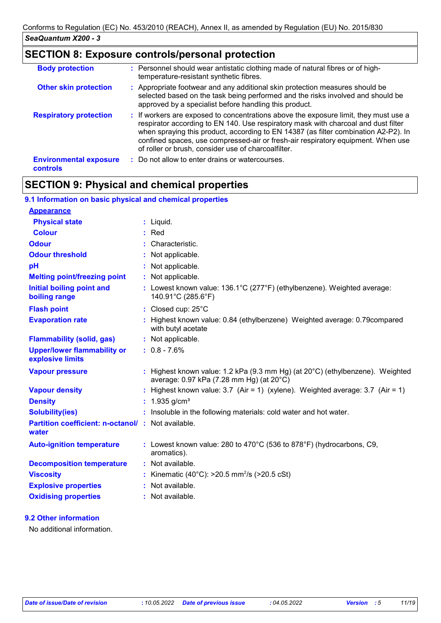# **SECTION 8: Exposure controls/personal protection**

| <b>Body protection</b>                           | : Personnel should wear antistatic clothing made of natural fibres or of high-<br>temperature-resistant synthetic fibres.                                                                                                                                                                                                                                                                                    |
|--------------------------------------------------|--------------------------------------------------------------------------------------------------------------------------------------------------------------------------------------------------------------------------------------------------------------------------------------------------------------------------------------------------------------------------------------------------------------|
| <b>Other skin protection</b>                     | : Appropriate footwear and any additional skin protection measures should be<br>selected based on the task being performed and the risks involved and should be<br>approved by a specialist before handling this product.                                                                                                                                                                                    |
| <b>Respiratory protection</b>                    | : If workers are exposed to concentrations above the exposure limit, they must use a<br>respirator according to EN 140. Use respiratory mask with charcoal and dust filter<br>when spraying this product, according to EN 14387 (as filter combination A2-P2). In<br>confined spaces, use compressed-air or fresh-air respiratory equipment. When use<br>of roller or brush, consider use of charcoalfilter. |
| <b>Environmental exposure</b><br><b>controls</b> | : Do not allow to enter drains or watercourses.                                                                                                                                                                                                                                                                                                                                                              |

# **SECTION 9: Physical and chemical properties**

| 9.1 Information on basic physical and chemical properties         |                                                                                                                           |
|-------------------------------------------------------------------|---------------------------------------------------------------------------------------------------------------------------|
| <b>Appearance</b>                                                 |                                                                                                                           |
| <b>Physical state</b>                                             | : Liquid.                                                                                                                 |
| <b>Colour</b>                                                     | $:$ Red                                                                                                                   |
| <b>Odour</b>                                                      | : Characteristic.                                                                                                         |
| <b>Odour threshold</b>                                            | : Not applicable.                                                                                                         |
| pH                                                                | : Not applicable.                                                                                                         |
| <b>Melting point/freezing point</b>                               | : Not applicable.                                                                                                         |
| <b>Initial boiling point and</b><br>boiling range                 | : Lowest known value: 136.1°C (277°F) (ethylbenzene). Weighted average:<br>140.91°C (285.6°F)                             |
| <b>Flash point</b>                                                | : Closed cup: 25°C                                                                                                        |
| <b>Evaporation rate</b>                                           | : Highest known value: 0.84 (ethylbenzene) Weighted average: 0.79 compared<br>with butyl acetate                          |
| <b>Flammability (solid, gas)</b>                                  | : Not applicable.                                                                                                         |
| <b>Upper/lower flammability or</b><br>explosive limits            | $: 0.8 - 7.6%$                                                                                                            |
| <b>Vapour pressure</b>                                            | : Highest known value: 1.2 kPa (9.3 mm Hg) (at 20°C) (ethylbenzene). Weighted<br>average: 0.97 kPa (7.28 mm Hg) (at 20°C) |
| <b>Vapour density</b>                                             | : Highest known value: $3.7$ (Air = 1) (xylene). Weighted average: $3.7$ (Air = 1)                                        |
| <b>Density</b>                                                    | : $1.935$ g/cm <sup>3</sup>                                                                                               |
| <b>Solubility(ies)</b>                                            | : Insoluble in the following materials: cold water and hot water.                                                         |
| <b>Partition coefficient: n-octanol/: Not available.</b><br>water |                                                                                                                           |
| <b>Auto-ignition temperature</b>                                  | : Lowest known value: 280 to 470 $^{\circ}$ C (536 to 878 $^{\circ}$ F) (hydrocarbons, C9,<br>aromatics).                 |
| <b>Decomposition temperature</b>                                  | : Not available.                                                                                                          |
| <b>Viscosity</b>                                                  | : Kinematic (40°C): $>20.5$ mm <sup>2</sup> /s ( $>20.5$ cSt)                                                             |
| <b>Explosive properties</b>                                       | : Not available.                                                                                                          |
| <b>Oxidising properties</b>                                       | : Not available.                                                                                                          |

#### **9.2 Other information**

No additional information.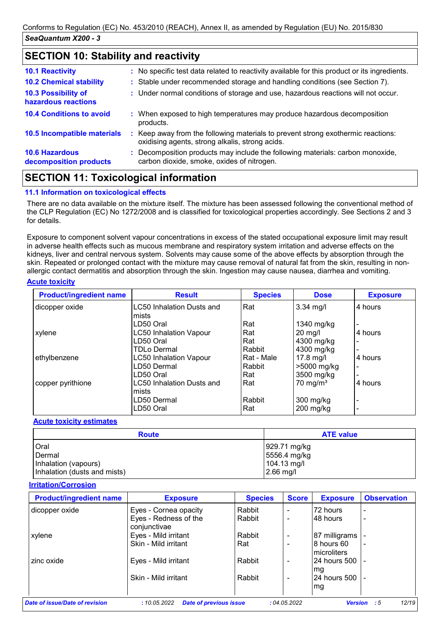## **SECTION 10: Stability and reactivity**

| <b>10.1 Reactivity</b>                          | : No specific test data related to reactivity available for this product or its ingredients.                                        |
|-------------------------------------------------|-------------------------------------------------------------------------------------------------------------------------------------|
| <b>10.2 Chemical stability</b>                  | : Stable under recommended storage and handling conditions (see Section 7).                                                         |
| 10.3 Possibility of<br>hazardous reactions      | : Under normal conditions of storage and use, hazardous reactions will not occur.                                                   |
| <b>10.4 Conditions to avoid</b>                 | : When exposed to high temperatures may produce hazardous decomposition<br>products.                                                |
| 10.5 Incompatible materials                     | : Keep away from the following materials to prevent strong exothermic reactions:<br>oxidising agents, strong alkalis, strong acids. |
| <b>10.6 Hazardous</b><br>decomposition products | : Decomposition products may include the following materials: carbon monoxide,<br>carbon dioxide, smoke, oxides of nitrogen.        |
|                                                 |                                                                                                                                     |

## **SECTION 11: Toxicological information**

#### **11.1 Information on toxicological effects**

There are no data available on the mixture itself. The mixture has been assessed following the conventional method of the CLP Regulation (EC) No 1272/2008 and is classified for toxicological properties accordingly. See Sections 2 and 3 for details.

Exposure to component solvent vapour concentrations in excess of the stated occupational exposure limit may result in adverse health effects such as mucous membrane and respiratory system irritation and adverse effects on the kidneys, liver and central nervous system. Solvents may cause some of the above effects by absorption through the skin. Repeated or prolonged contact with the mixture may cause removal of natural fat from the skin, resulting in nonallergic contact dermatitis and absorption through the skin. Ingestion may cause nausea, diarrhea and vomiting.

#### **Acute toxicity**

| <b>Product/ingredient name</b> | <b>Result</b>                    | <b>Species</b> | <b>Dose</b>         | <b>Exposure</b> |
|--------------------------------|----------------------------------|----------------|---------------------|-----------------|
| dicopper oxide                 | <b>LC50 Inhalation Dusts and</b> | Rat            | $3.34 \text{ mg/l}$ | 4 hours         |
|                                | lmists                           |                |                     |                 |
|                                | LD50 Oral                        | Rat            | 1340 mg/kg          |                 |
| xylene                         | <b>LC50 Inhalation Vapour</b>    | Rat            | $20$ mg/l           | 4 hours         |
|                                | LD50 Oral                        | Rat            | 4300 mg/kg          |                 |
|                                | TDLo Dermal                      | Rabbit         | 4300 mg/kg          | ۰               |
| ethylbenzene                   | <b>LC50 Inhalation Vapour</b>    | Rat - Male     | $17.8$ mg/l         | 4 hours         |
|                                | LD50 Dermal                      | Rabbit         | >5000 mg/kg         | ٠               |
|                                | LD50 Oral                        | Rat            | 3500 mg/kg          | $\blacksquare$  |
| copper pyrithione              | LC50 Inhalation Dusts and        | Rat            | $70 \text{ mg/m}^3$ | 4 hours         |
|                                | lmists                           |                |                     |                 |
|                                | LD50 Dermal                      | Rabbit         | $300$ mg/kg         | -               |
|                                | LD50 Oral                        | Rat            | $200$ mg/kg         |                 |

#### **Acute toxicity estimates**

| <b>Route</b>                 | <b>ATE value</b> |
|------------------------------|------------------|
| Oral                         | 929.71 mg/kg     |
| Dermal                       | 5556.4 mg/kg     |
| Inhalation (vapours)         | 104.13 mg/l      |
| Inhalation (dusts and mists) | $2.66$ mg/l      |

#### **Irritation/Corrosion**

| <b>Exposure</b>                       | <b>Species</b> | <b>Score</b>             | <b>Exposure</b>            | <b>Observation</b>       |
|---------------------------------------|----------------|--------------------------|----------------------------|--------------------------|
| Eyes - Cornea opacity                 | Rabbit         | $\blacksquare$           | 72 hours                   |                          |
| Eyes - Redness of the<br>conjunctivae | Rabbit         | $\overline{\phantom{0}}$ | 148 hours                  | $\overline{a}$           |
| Eyes - Mild irritant                  | Rabbit         | $\blacksquare$           | 87 milligrams              |                          |
| Skin - Mild irritant                  | Rat            | $\overline{\phantom{0}}$ | l8 hours 60<br>microliters | $\,$                     |
| Eyes - Mild irritant                  | Rabbit         | $\overline{\phantom{a}}$ | 24 hours 500               |                          |
| Skin - Mild irritant                  | Rabbit         | $\blacksquare$           | 24 hours 500<br>mg         | $\overline{\phantom{a}}$ |
|                                       |                |                          |                            | lmg                      |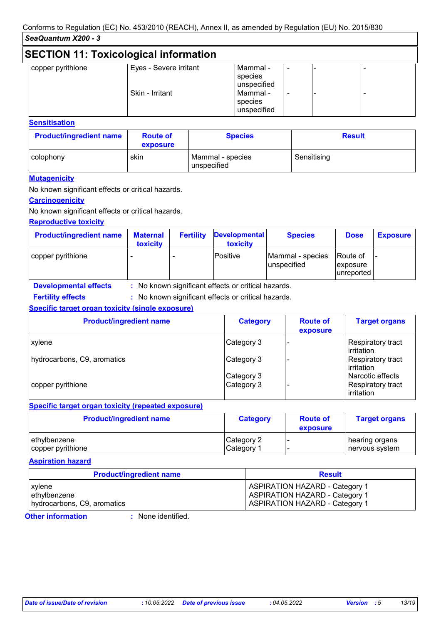| <b>SECTION 11: Toxicological information</b> |                        |                                                              |   |  |  |  |  |
|----------------------------------------------|------------------------|--------------------------------------------------------------|---|--|--|--|--|
| copper pyrithione                            | Eyes - Severe irritant | Mammal -                                                     | ۰ |  |  |  |  |
|                                              | Skin - Irritant        | species<br>unspecified<br>Mammal -<br>species<br>unspecified | ۰ |  |  |  |  |

#### **Sensitisation**

| <b>Product/ingredient name</b> | <b>Route of</b><br>exposure | <b>Species</b>                  | <b>Result</b> |
|--------------------------------|-----------------------------|---------------------------------|---------------|
| colophony                      | skin                        | Mammal - species<br>unspecified | Sensitising   |

#### **Mutagenicity**

No known significant effects or critical hazards.

#### **Carcinogenicity**

No known significant effects or critical hazards.

#### **Reproductive toxicity**

| <b>Product/ingredient name</b> | <b>Maternal</b><br>toxicity | <b>Fertility</b> | <b>Developmental</b><br>toxicity | <b>Species</b>                   | <b>Dose</b>                         | <b>Exposure</b> |
|--------------------------------|-----------------------------|------------------|----------------------------------|----------------------------------|-------------------------------------|-----------------|
| copper pyrithione              |                             |                  | Positive                         | Mammal - species<br>lunspecified | Route of<br>exposure<br>lunreported |                 |

**Developmental effects :** : No known significant effects or critical hazards.

: No known significant effects or critical hazards. **Fertility effects :**

#### **Specific target organ toxicity (single exposure)**

| <b>Product/ingredient name</b> | <b>Category</b> | <b>Route of</b><br>exposure | <b>Target organs</b>                    |
|--------------------------------|-----------------|-----------------------------|-----------------------------------------|
| <b>xylene</b>                  | Category 3      |                             | Respiratory tract<br>irritation         |
| hydrocarbons, C9, aromatics    | Category 3      |                             | Respiratory tract<br><b>lirritation</b> |
|                                | Category 3      |                             | Narcotic effects                        |
| copper pyrithione              | Category 3      |                             | <b>Respiratory tract</b><br>irritation  |

#### **Specific target organ toxicity (repeated exposure)**

| <b>Product/ingredient name</b> | <b>Category</b> | <b>Route of</b><br>exposure | <b>Target organs</b> |
|--------------------------------|-----------------|-----------------------------|----------------------|
| ethylbenzene                   | Category 2      |                             | hearing organs       |
| copper pyrithione              | Category 1      |                             | nervous system       |

#### **Aspiration hazard**

| <b>Product/ingredient name</b> | <b>Result</b>                         |
|--------------------------------|---------------------------------------|
| xylene                         | <b>ASPIRATION HAZARD - Category 1</b> |
| ethylbenzene                   | <b>ASPIRATION HAZARD - Category 1</b> |
| hydrocarbons, C9, aromatics    | ASPIRATION HAZARD - Category 1        |

**Other information :**

: None identified.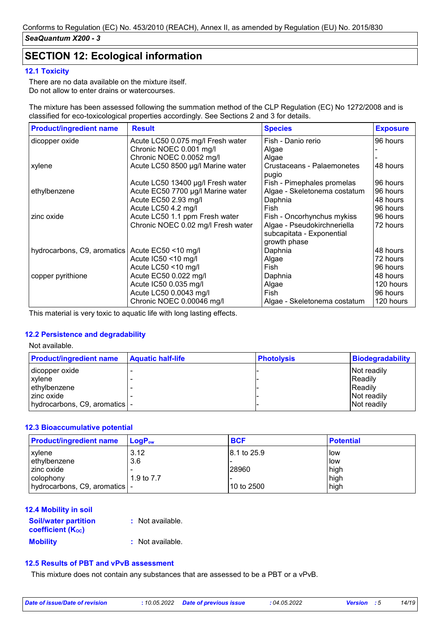# **SECTION 12: Ecological information**

#### **12.1 Toxicity**

There are no data available on the mixture itself. Do not allow to enter drains or watercourses.

The mixture has been assessed following the summation method of the CLP Regulation (EC) No 1272/2008 and is classified for eco-toxicological properties accordingly. See Sections 2 and 3 for details.

| <b>Product/ingredient name</b>                    | <b>Result</b>                      | <b>Species</b>                      | <b>Exposure</b> |
|---------------------------------------------------|------------------------------------|-------------------------------------|-----------------|
| dicopper oxide                                    | Acute LC50 0.075 mg/l Fresh water  | Fish - Danio rerio                  | 96 hours        |
|                                                   | Chronic NOEC 0.001 mg/l            | Algae                               |                 |
|                                                   | Chronic NOEC 0.0052 mg/l           | Algae                               |                 |
| xylene                                            | Acute LC50 8500 µg/l Marine water  | Crustaceans - Palaemonetes<br>pugio | 48 hours        |
|                                                   | Acute LC50 13400 µg/l Fresh water  | Fish - Pimephales promelas          | 96 hours        |
| ethylbenzene                                      | Acute EC50 7700 µg/l Marine water  | Algae - Skeletonema costatum        | 96 hours        |
|                                                   | Acute EC50 2.93 mg/l               | Daphnia                             | 48 hours        |
|                                                   | Acute LC50 4.2 mg/l                | Fish                                | 96 hours        |
| zinc oxide                                        | Acute LC50 1.1 ppm Fresh water     | Fish - Oncorhynchus mykiss          | 96 hours        |
|                                                   | Chronic NOEC 0.02 mg/l Fresh water | Algae - Pseudokirchneriella         | 72 hours        |
|                                                   |                                    | subcapitata - Exponential           |                 |
|                                                   |                                    | growth phase                        |                 |
| hydrocarbons, C9, aromatics   Acute EC50 <10 mg/l |                                    | Daphnia                             | 48 hours        |
|                                                   | Acute IC50 <10 mg/l                | Algae                               | 72 hours        |
|                                                   | Acute LC50 <10 mg/l                | Fish                                | 96 hours        |
| copper pyrithione                                 | Acute EC50 0.022 mg/l              | Daphnia                             | 48 hours        |
|                                                   | Acute IC50 0.035 mg/l              | Algae                               | 120 hours       |
|                                                   | Acute LC50 0.0043 mg/l             | Fish                                | 96 hours        |
|                                                   | Chronic NOEC 0.00046 mg/l          | Algae - Skeletonema costatum        | 120 hours       |

This material is very toxic to aquatic life with long lasting effects.

#### **12.2 Persistence and degradability**

Not available.

| <b>Product/ingredient name</b>  | <b>Aquatic half-life</b> | <b>Photolysis</b> | <b>Biodegradability</b> |
|---------------------------------|--------------------------|-------------------|-------------------------|
| dicopper oxide                  |                          |                   | Not readily             |
| xylene                          |                          |                   | Readily                 |
| ethylbenzene                    |                          |                   | Readily                 |
| zinc oxide                      |                          |                   | Not readily             |
| hydrocarbons, C9, aromatics   - |                          |                   | Not readily             |

#### **12.3 Bioaccumulative potential**

| <b>Product/ingredient name</b>  | $ $ LogP <sub>ow</sub> | <b>BCF</b>  | <b>Potential</b> |
|---------------------------------|------------------------|-------------|------------------|
| xylene                          | 3.12                   | 8.1 to 25.9 | l low            |
| ethylbenzene                    | 3.6                    |             | llow             |
| zinc oxide                      |                        | 28960       | high             |
| colophony                       | 1.9 to $7.7$           |             | high             |
| hydrocarbons, C9, aromatics   - |                        | 10 to 2500  | high             |

#### **12.4 Mobility in soil**

| <b>Soil/water partition</b><br><b>coefficient (Koc)</b> | : Not available. |
|---------------------------------------------------------|------------------|
| <b>Mobility</b>                                         | : Not available. |

#### **12.5 Results of PBT and vPvB assessment**

This mixture does not contain any substances that are assessed to be a PBT or a vPvB.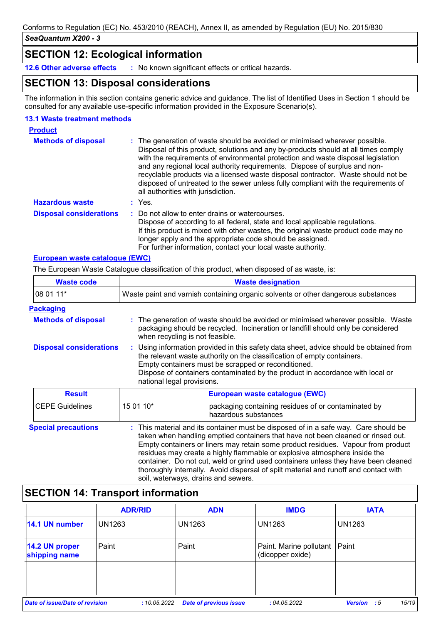### **SECTION 12: Ecological information**

**12.6 Other adverse effects :** No known significant effects or critical hazards.

# **SECTION 13: Disposal considerations**

The information in this section contains generic advice and guidance. The list of Identified Uses in Section 1 should be consulted for any available use-specific information provided in the Exposure Scenario(s).

#### **13.1 Waste treatment methods**

| <b>Product</b>                 |                                                                                                                                                                                                                                                                                                                                                                                                                                                                                                                                                      |
|--------------------------------|------------------------------------------------------------------------------------------------------------------------------------------------------------------------------------------------------------------------------------------------------------------------------------------------------------------------------------------------------------------------------------------------------------------------------------------------------------------------------------------------------------------------------------------------------|
| <b>Methods of disposal</b>     | : The generation of waste should be avoided or minimised wherever possible.<br>Disposal of this product, solutions and any by-products should at all times comply<br>with the requirements of environmental protection and waste disposal legislation<br>and any regional local authority requirements. Dispose of surplus and non-<br>recyclable products via a licensed waste disposal contractor. Waste should not be<br>disposed of untreated to the sewer unless fully compliant with the requirements of<br>all authorities with jurisdiction. |
| <b>Hazardous waste</b>         | : Yes.                                                                                                                                                                                                                                                                                                                                                                                                                                                                                                                                               |
| <b>Disposal considerations</b> | : Do not allow to enter drains or watercourses.<br>Dispose of according to all federal, state and local applicable regulations.<br>If this product is mixed with other wastes, the original waste product code may no<br>longer apply and the appropriate code should be assigned.<br>For further information, contact your local waste authority.                                                                                                                                                                                                   |

#### **European waste catalogue (EWC)**

The European Waste Catalogue classification of this product, when disposed of as waste, is:

| <b>Waste code</b>              | <b>Waste designation</b>                                                                                                                                                                                                                                                                                                                                                                                                       |  |  |  |
|--------------------------------|--------------------------------------------------------------------------------------------------------------------------------------------------------------------------------------------------------------------------------------------------------------------------------------------------------------------------------------------------------------------------------------------------------------------------------|--|--|--|
| 08 01 11*                      | Waste paint and varnish containing organic solvents or other dangerous substances                                                                                                                                                                                                                                                                                                                                              |  |  |  |
| <u>Packaging</u>               |                                                                                                                                                                                                                                                                                                                                                                                                                                |  |  |  |
| <b>Methods of disposal</b>     | : The generation of waste should be avoided or minimised wherever possible. Waste<br>packaging should be recycled. Incineration or landfill should only be considered<br>when recycling is not feasible.                                                                                                                                                                                                                       |  |  |  |
| <b>Disposal considerations</b> | : Using information provided in this safety data sheet, advice should be obtained from<br>the relevant waste authority on the classification of empty containers.<br>Empty containers must be scrapped or reconditioned.<br>Dispose of containers contaminated by the product in accordance with local or<br>national legal provisions.                                                                                        |  |  |  |
| <b>Result</b>                  | European waste catalogue (EWC)                                                                                                                                                                                                                                                                                                                                                                                                 |  |  |  |
| <b>CEPE Guidelines</b>         | 15 01 10*<br>packaging containing residues of or contaminated by<br>hazardous substances                                                                                                                                                                                                                                                                                                                                       |  |  |  |
| <b>Special precautions</b>     | : This material and its container must be disposed of in a safe way. Care should be<br>taken when handling emptied containers that have not been cleaned or rinsed out.<br>Empty containers or liners may retain some product residues. Vapour from product<br>residues may create a highly flammable or explosive atmosphere inside the<br>container. Do not cut, weld or grind used containers unless they have been cleaned |  |  |  |

# **SECTION 14: Transport information**

|                                       | <b>ADR/RID</b> | <b>ADN</b>                    | <b>IMDG</b>                                 | <b>IATA</b>          |
|---------------------------------------|----------------|-------------------------------|---------------------------------------------|----------------------|
| 14.1 UN number                        | <b>UN1263</b>  | <b>UN1263</b>                 | <b>UN1263</b>                               | <b>UN1263</b>        |
| 14.2 UN proper<br>shipping name       | Paint          | Paint                         | Paint. Marine pollutant<br>(dicopper oxide) | Paint                |
|                                       |                |                               |                                             |                      |
| <b>Date of issue/Date of revision</b> | : 10.05.2022   | <b>Date of previous issue</b> | :04.05.2022                                 | 15/19<br>Version : 5 |

soil, waterways, drains and sewers.

thoroughly internally. Avoid dispersal of spilt material and runoff and contact with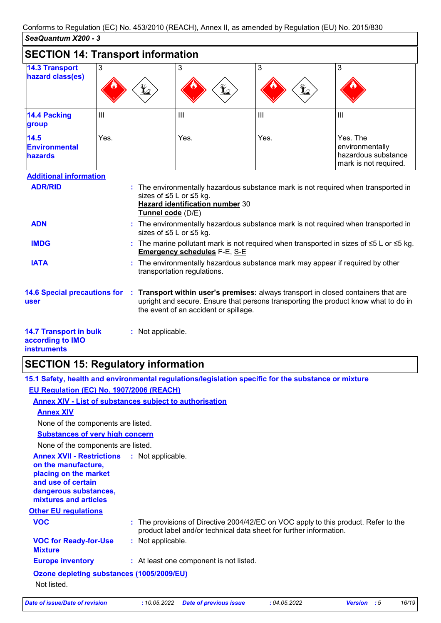|                                                                         | <b>SECTION 14: Transport information</b> |                                                                                                                                                                                                                  |                |                                                                                    |  |  |
|-------------------------------------------------------------------------|------------------------------------------|------------------------------------------------------------------------------------------------------------------------------------------------------------------------------------------------------------------|----------------|------------------------------------------------------------------------------------|--|--|
| <b>14.3 Transport</b><br>hazard class(es)                               | 3<br>ť.                                  | 3                                                                                                                                                                                                                | 3              | 3                                                                                  |  |  |
| <b>14.4 Packing</b><br>group                                            | III                                      | III                                                                                                                                                                                                              | $\mathbf{III}$ | $\mathbf{III}$                                                                     |  |  |
| 14.5<br><b>Environmental</b><br><b>hazards</b>                          | Yes.                                     | Yes.                                                                                                                                                                                                             | Yes.           | Yes. The<br>environmentally<br>hazardous substance<br>mark is not required.        |  |  |
| <b>Additional information</b><br><b>ADR/RID</b>                         |                                          | sizes of ≤5 L or ≤5 kg.<br>Hazard identification number 30<br>Tunnel code (D/E)                                                                                                                                  |                | : The environmentally hazardous substance mark is not required when transported in |  |  |
| <b>ADN</b>                                                              |                                          | The environmentally hazardous substance mark is not required when transported in<br>sizes of ≤5 L or ≤5 kg.                                                                                                      |                |                                                                                    |  |  |
| <b>IMDG</b>                                                             |                                          | : The marine pollutant mark is not required when transported in sizes of $\leq 5$ L or $\leq 5$ kg.<br><b>Emergency schedules F-E, S-E</b>                                                                       |                |                                                                                    |  |  |
| <b>IATA</b>                                                             |                                          | : The environmentally hazardous substance mark may appear if required by other<br>transportation regulations.                                                                                                    |                |                                                                                    |  |  |
| <b>14.6 Special precautions for</b><br>user                             |                                          | Transport within user's premises: always transport in closed containers that are<br>upright and secure. Ensure that persons transporting the product know what to do in<br>the event of an accident or spillage. |                |                                                                                    |  |  |
| <b>14.7 Transport in bulk</b><br>according to IMO<br><b>instruments</b> | : Not applicable.                        |                                                                                                                                                                                                                  |                |                                                                                    |  |  |

# **SECTION 15: Regulatory information**

**15.1 Safety, health and environmental regulations/legislation specific for the substance or mixture EU Regulation (EC) No. 1907/2006 (REACH)**

### **Annex XIV - List of substances subject to authorisation**

| <b>Annex XIV</b>                                                                 |                   |  |  |  |
|----------------------------------------------------------------------------------|-------------------|--|--|--|
| None of the components are listed.                                               |                   |  |  |  |
| <b>Substances of very high concern</b>                                           |                   |  |  |  |
| None of the components are listed.                                               |                   |  |  |  |
| <b>Annex XVII - Restrictions</b><br>on the manufacture,<br>nlacing on the market | : Not applicable. |  |  |  |

| on the manufacture,<br>placing on the market<br>and use of certain<br>dangerous substances,<br>mixtures and articles |                                                                                                                                                           |
|----------------------------------------------------------------------------------------------------------------------|-----------------------------------------------------------------------------------------------------------------------------------------------------------|
| <b>Other EU regulations</b>                                                                                          |                                                                                                                                                           |
| <b>VOC</b>                                                                                                           | : The provisions of Directive 2004/42/EC on VOC apply to this product. Refer to the<br>product label and/or technical data sheet for further information. |
| <b>VOC for Ready-for-Use</b><br><b>Mixture</b>                                                                       | : Not applicable.                                                                                                                                         |
| <b>Europe inventory</b>                                                                                              | : At least one component is not listed.                                                                                                                   |
| Ozone depleting substances (1005/2009/EU)<br>Not listed.                                                             |                                                                                                                                                           |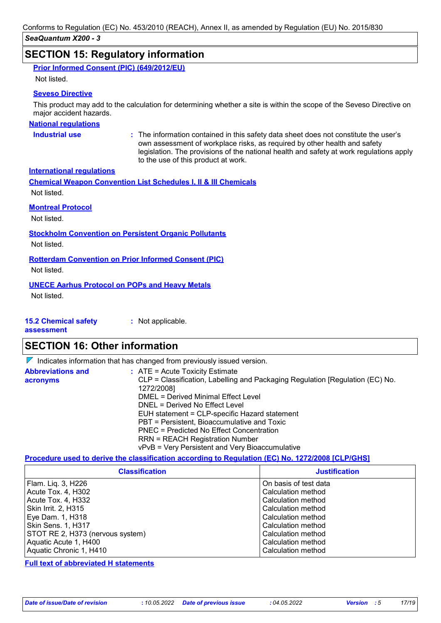### **SECTION 15: Regulatory information**

| Prior Informed Consent (PIC) (649/2012/EU) |  |  |
|--------------------------------------------|--|--|
|                                            |  |  |

Not listed.

#### **Seveso Directive**

This product may add to the calculation for determining whether a site is within the scope of the Seveso Directive on major accident hazards.

#### **National regulations**

**Industrial use <b>:** The information contained in this safety data sheet does not constitute the user's own assessment of workplace risks, as required by other health and safety legislation. The provisions of the national health and safety at work regulations apply to the use of this product at work.

**International regulations**

**Chemical Weapon Convention List Schedules I, II & III Chemicals** Not listed.

#### **Montreal Protocol**

Not listed.

**Stockholm Convention on Persistent Organic Pollutants**

Not listed.

**Rotterdam Convention on Prior Informed Consent (PIC)**

Not listed.

#### **UNECE Aarhus Protocol on POPs and Heavy Metals**

Not listed.

| <b>15.2 Chemical safety</b> | : Not applicable. |
|-----------------------------|-------------------|
|                             |                   |

**assessment**

## **SECTION 16: Other information**

|                                      | $\nabla$ Indicates information that has changed from previously issued version.                                                                                                                                                                                                                                                                                                                                                                             |
|--------------------------------------|-------------------------------------------------------------------------------------------------------------------------------------------------------------------------------------------------------------------------------------------------------------------------------------------------------------------------------------------------------------------------------------------------------------------------------------------------------------|
| <b>Abbreviations and</b><br>acronyms | $\therefore$ ATE = Acute Toxicity Estimate<br>CLP = Classification, Labelling and Packaging Regulation [Regulation (EC) No.<br>1272/2008]<br>DMEL = Derived Minimal Effect Level<br>DNEL = Derived No Effect Level<br>EUH statement = CLP-specific Hazard statement<br>PBT = Persistent, Bioaccumulative and Toxic<br>PNEC = Predicted No Effect Concentration<br><b>RRN = REACH Registration Number</b><br>vPvB = Very Persistent and Very Bioaccumulative |

#### **Procedure used to derive the classification according to Regulation (EC) No. 1272/2008 [CLP/GHS]**

| <b>Classification</b>            | <b>Justification</b>  |
|----------------------------------|-----------------------|
| Flam. Liq. 3, H226               | On basis of test data |
| Acute Tox. 4, H302               | Calculation method    |
| Acute Tox. 4, H332               | Calculation method    |
| Skin Irrit. 2, H315              | Calculation method    |
| Eye Dam. 1, H318                 | Calculation method    |
| <b>Skin Sens. 1, H317</b>        | Calculation method    |
| STOT RE 2, H373 (nervous system) | Calculation method    |
| Aquatic Acute 1, H400            | Calculation method    |
| Aquatic Chronic 1, H410          | Calculation method    |

**Full text of abbreviated H statements**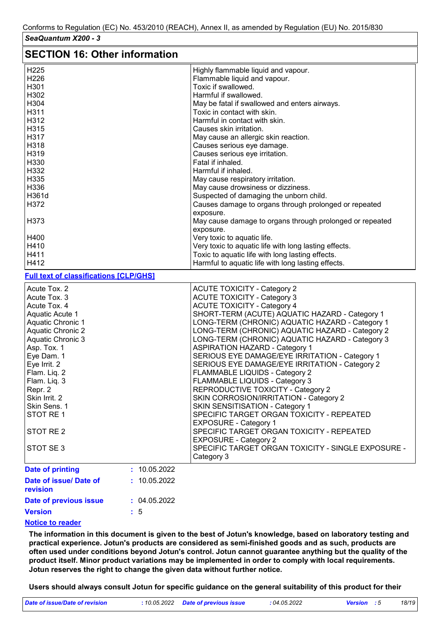## **SECTION 16: Other information**

| ULVIIVII IV. VUIVI IIIIVIIIIUUVII             |                |                                                                              |
|-----------------------------------------------|----------------|------------------------------------------------------------------------------|
| H <sub>225</sub>                              |                | Highly flammable liquid and vapour.                                          |
| H226                                          |                | Flammable liquid and vapour.                                                 |
| H301                                          |                | Toxic if swallowed.                                                          |
| H302                                          |                | Harmful if swallowed.                                                        |
| H304                                          |                | May be fatal if swallowed and enters airways.                                |
| H311                                          |                | Toxic in contact with skin.                                                  |
| H312                                          |                | Harmful in contact with skin.                                                |
| H315                                          |                | Causes skin irritation.                                                      |
| H317                                          |                | May cause an allergic skin reaction.                                         |
| H318                                          |                | Causes serious eye damage.                                                   |
| H319                                          |                | Causes serious eye irritation.                                               |
| H330                                          |                | Fatal if inhaled.                                                            |
| H332                                          |                | Harmful if inhaled.                                                          |
| H335                                          |                | May cause respiratory irritation.                                            |
| H336                                          |                | May cause drowsiness or dizziness.                                           |
| H361d                                         |                | Suspected of damaging the unborn child.                                      |
| H372                                          |                |                                                                              |
|                                               |                | Causes damage to organs through prolonged or repeated                        |
|                                               |                | exposure.                                                                    |
| H373                                          |                | May cause damage to organs through prolonged or repeated                     |
|                                               |                | exposure.                                                                    |
| H400                                          |                | Very toxic to aquatic life.                                                  |
| H410                                          |                | Very toxic to aquatic life with long lasting effects.                        |
| H411                                          |                | Toxic to aquatic life with long lasting effects.                             |
| H412                                          |                | Harmful to aquatic life with long lasting effects.                           |
| <b>Full text of classifications [CLP/GHS]</b> |                |                                                                              |
| Acute Tox. 2                                  |                | <b>ACUTE TOXICITY - Category 2</b>                                           |
| Acute Tox. 3                                  |                | <b>ACUTE TOXICITY - Category 3</b>                                           |
| Acute Tox. 4                                  |                | <b>ACUTE TOXICITY - Category 4</b>                                           |
| Aquatic Acute 1                               |                | SHORT-TERM (ACUTE) AQUATIC HAZARD - Category 1                               |
| Aquatic Chronic 1                             |                | LONG-TERM (CHRONIC) AQUATIC HAZARD - Category 1                              |
| <b>Aquatic Chronic 2</b>                      |                | LONG-TERM (CHRONIC) AQUATIC HAZARD - Category 2                              |
| Aquatic Chronic 3                             |                | LONG-TERM (CHRONIC) AQUATIC HAZARD - Category 3                              |
| Asp. Tox. 1                                   |                | <b>ASPIRATION HAZARD - Category 1</b>                                        |
| Eye Dam. 1                                    |                | SERIOUS EYE DAMAGE/EYE IRRITATION - Category 1                               |
| Eye Irrit. 2                                  |                | SERIOUS EYE DAMAGE/EYE IRRITATION - Category 2                               |
| Flam. Liq. 2                                  |                | FLAMMABLE LIQUIDS - Category 2                                               |
| Flam. Liq. 3                                  |                | FLAMMABLE LIQUIDS - Category 3                                               |
| Repr. 2                                       |                | REPRODUCTIVE TOXICITY - Category 2                                           |
| Skin Irrit. 2                                 |                | SKIN CORROSION/IRRITATION - Category 2                                       |
| Skin Sens. 1                                  |                |                                                                              |
| STOT RE1                                      |                | SKIN SENSITISATION - Category 1<br>SPECIFIC TARGET ORGAN TOXICITY - REPEATED |
|                                               |                |                                                                              |
|                                               |                | <b>EXPOSURE - Category 1</b>                                                 |
| STOT RE 2                                     |                | SPECIFIC TARGET ORGAN TOXICITY - REPEATED                                    |
|                                               |                | <b>EXPOSURE - Category 2</b>                                                 |
| STOT SE 3                                     |                | SPECIFIC TARGET ORGAN TOXICITY - SINGLE EXPOSURE -                           |
|                                               |                | Category 3                                                                   |
| <b>Date of printing</b>                       | : 10.05.2022   |                                                                              |
| Date of issue/ Date of                        | : 10.05.2022   |                                                                              |
| revision                                      |                |                                                                              |
| Date of previous issue                        | : 04.05.2022   |                                                                              |
|                                               |                |                                                                              |
| <b>Version</b>                                | $\therefore$ 5 |                                                                              |

#### **Notice to reader**

**The information in this document is given to the best of Jotun's knowledge, based on laboratory testing and practical experience. Jotun's products are considered as semi-finished goods and as such, products are often used under conditions beyond Jotun's control. Jotun cannot guarantee anything but the quality of the product itself. Minor product variations may be implemented in order to comply with local requirements. Jotun reserves the right to change the given data without further notice.**

**Users should always consult Jotun for specific guidance on the general suitability of this product for their** 

| Date of issue/Date of revision | : 10.05.2022 Date of previous issue | : 04.05.2022 | <b>Version</b> : 5 | 18/19 |
|--------------------------------|-------------------------------------|--------------|--------------------|-------|
|                                |                                     |              |                    |       |